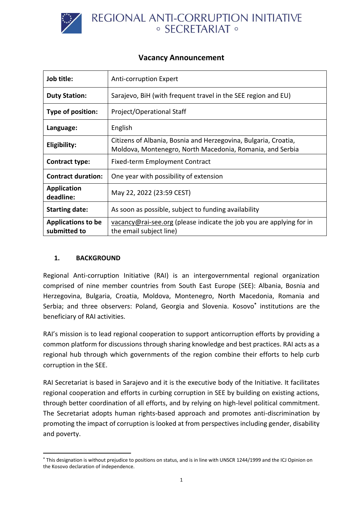

# REGIONAL ANTI-CORRUPTION INITIATIVE ○ SECRETARIAT ○

## **Vacancy Announcement**

| Job title:                                | <b>Anti-corruption Expert</b>                                                                                                |
|-------------------------------------------|------------------------------------------------------------------------------------------------------------------------------|
| <b>Duty Station:</b>                      | Sarajevo, BiH (with frequent travel in the SEE region and EU)                                                                |
| Type of position:                         | Project/Operational Staff                                                                                                    |
| Language:                                 | English                                                                                                                      |
| Eligibility:                              | Citizens of Albania, Bosnia and Herzegovina, Bulgaria, Croatia,<br>Moldova, Montenegro, North Macedonia, Romania, and Serbia |
| <b>Contract type:</b>                     | Fixed-term Employment Contract                                                                                               |
| <b>Contract duration:</b>                 | One year with possibility of extension                                                                                       |
| <b>Application</b><br>deadline:           | May 22, 2022 (23:59 CEST)                                                                                                    |
| <b>Starting date:</b>                     | As soon as possible, subject to funding availability                                                                         |
| <b>Applications to be</b><br>submitted to | $vacancy@rai-see.org$ (please indicate the job you are applying for in<br>the email subject line)                            |

## **1. BACKGROUND**

Regional Anti-corruption Initiative (RAI) is an intergovernmental regional organization comprised of nine member countries from South East Europe (SEE): Albania, Bosnia and Herzegovina, Bulgaria, Croatia, Moldova, Montenegro, North Macedonia, Romania and Serbia; and three observers: Poland, Georgia and Slovenia. Kosovo**\*** institutions are the beneficiary of RAI activities.

RAI's mission is to lead regional cooperation to support anticorruption efforts by providing a common platform for discussions through sharing knowledge and best practices. RAI acts as a regional hub through which governments of the region combine their efforts to help curb corruption in the SEE.

RAI Secretariat is based in Sarajevo and it is the executive body of the Initiative. It facilitates regional cooperation and efforts in curbing corruption in SEE by building on existing actions, through better coordination of all efforts, and by relying on high-level political commitment. The Secretariat adopts human rights-based approach and promotes anti-discrimination by promoting the impact of corruption is looked at from perspectives including gender, disability and poverty.

**<sup>\*</sup>** This designation is without prejudice to positions on status, and is in line with UNSCR 1244/1999 and the ICJ Opinion on the Kosovo declaration of independence.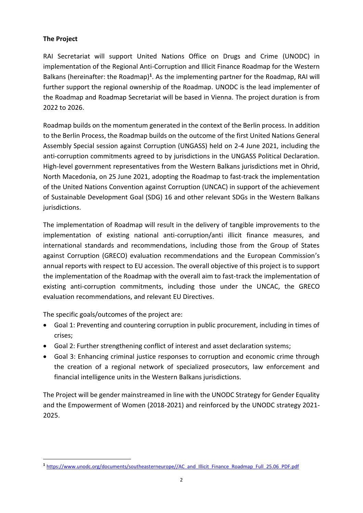#### **The Project**

RAI Secretariat will support United Nations Office on Drugs and Crime (UNODC) in implementation of the Regional Anti-Corruption and Illicit Finance Roadmap for the Western Balkans (hereinafter: the Roadmap)<sup>1</sup>. As the implementing partner for the Roadmap, RAI will further support the regional ownership of the Roadmap. UNODC is the lead implementer of the Roadmap and Roadmap Secretariat will be based in Vienna. The project duration is from 2022 to 2026.

Roadmap builds on the momentum generated in the context of the Berlin process. In addition to the Berlin Process, the Roadmap builds on the outcome of the first United Nations General Assembly Special session against Corruption (UNGASS) held on 2-4 June 2021, including the anti-corruption commitments agreed to by jurisdictions in the UNGASS Political Declaration. High-level government representatives from the Western Balkans jurisdictions met in Ohrid, North Macedonia, on 25 June 2021, adopting the Roadmap to fast-track the implementation of the United Nations Convention against Corruption (UNCAC) in support of the achievement of Sustainable Development Goal (SDG) 16 and other relevant SDGs in the Western Balkans jurisdictions.

The implementation of Roadmap will result in the delivery of tangible improvements to the implementation of existing national anti-corruption/anti illicit finance measures, and international standards and recommendations, including those from the Group of States against Corruption (GRECO) evaluation recommendations and the European Commission's annual reports with respect to EU accession. The overall objective of this project is to support the implementation of the Roadmap with the overall aim to fast-track the implementation of existing anti-corruption commitments, including those under the UNCAC, the GRECO evaluation recommendations, and relevant EU Directives.

The specific goals/outcomes of the project are:

- Goal 1: Preventing and countering corruption in public procurement, including in times of crises;
- Goal 2: Further strengthening conflict of interest and asset declaration systems;
- Goal 3: Enhancing criminal justice responses to corruption and economic crime through the creation of a regional network of specialized prosecutors, law enforcement and financial intelligence units in the Western Balkans jurisdictions.

The Project will be gender mainstreamed in line with the UNODC Strategy for Gender Equality and the Empowerment of Women (2018-2021) and reinforced by the UNODC strategy 2021- 2025.

**<sup>1</sup>** [https://www.unodc.org/documents/southeasterneurope//AC\\_and\\_Illicit\\_Finance\\_Roadmap\\_Full\\_25.06\\_PDF.pdf](https://www.unodc.org/documents/southeasterneurope/AC_and_Illicit_Finance_Roadmap_Full_25.06_PDF.pdf)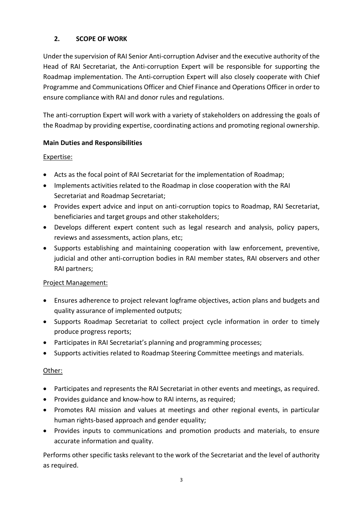## **2. SCOPE OF WORK**

Under the supervision of RAI Senior Anti-corruption Adviser and the executive authority of the Head of RAI Secretariat, the Anti-corruption Expert will be responsible for supporting the Roadmap implementation. The Anti-corruption Expert will also closely cooperate with Chief Programme and Communications Officer and Chief Finance and Operations Officer in order to ensure compliance with RAI and donor rules and regulations.

The anti-corruption Expert will work with a variety of stakeholders on addressing the goals of the Roadmap by providing expertise, coordinating actions and promoting regional ownership.

#### **Main Duties and Responsibilities**

#### Expertise:

- Acts as the focal point of RAI Secretariat for the implementation of Roadmap;
- Implements activities related to the Roadmap in close cooperation with the RAI Secretariat and Roadmap Secretariat;
- Provides expert advice and input on anti-corruption topics to Roadmap, RAI Secretariat, beneficiaries and target groups and other stakeholders;
- Develops different expert content such as legal research and analysis, policy papers, reviews and assessments, action plans, etc;
- Supports establishing and maintaining cooperation with law enforcement, preventive, judicial and other anti-corruption bodies in RAI member states, RAI observers and other RAI partners;

#### Project Management:

- Ensures adherence to project relevant logframe objectives, action plans and budgets and quality assurance of implemented outputs;
- Supports Roadmap Secretariat to collect project cycle information in order to timely produce progress reports;
- Participates in RAI Secretariat's planning and programming processes;
- Supports activities related to Roadmap Steering Committee meetings and materials.

#### Other:

- Participates and represents the RAI Secretariat in other events and meetings, as required.
- Provides guidance and know-how to RAI interns, as required;
- Promotes RAI mission and values at meetings and other regional events, in particular human rights-based approach and gender equality;
- Provides inputs to communications and promotion products and materials, to ensure accurate information and quality.

Performs other specific tasks relevant to the work of the Secretariat and the level of authority as required.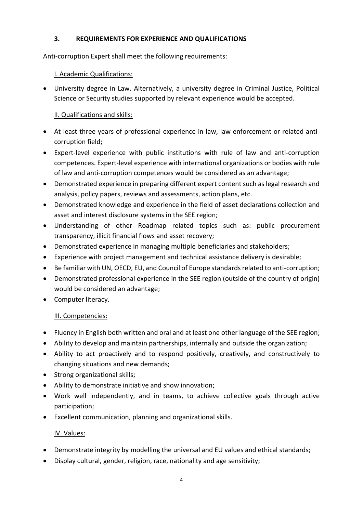## **3. REQUIREMENTS FOR EXPERIENCE AND QUALIFICATIONS**

Anti-corruption Expert shall meet the following requirements:

## I. Academic Qualifications:

• University degree in Law. Alternatively, a university degree in Criminal Justice, Political Science or Security studies supported by relevant experience would be accepted.

# II. Qualifications and skills:

- At least three years of professional experience in law, law enforcement or related anticorruption field;
- Expert-level experience with public institutions with rule of law and anti-corruption competences. Expert-level experience with international organizations or bodies with rule of law and anti-corruption competences would be considered as an advantage;
- Demonstrated experience in preparing different expert content such as legal research and analysis, policy papers, reviews and assessments, action plans, etc.
- Demonstrated knowledge and experience in the field of asset declarations collection and asset and interest disclosure systems in the SEE region;
- Understanding of other Roadmap related topics such as: public procurement transparency, illicit financial flows and asset recovery;
- Demonstrated experience in managing multiple beneficiaries and stakeholders;
- Experience with project management and technical assistance delivery is desirable;
- Be familiar with UN, OECD, EU, and Council of Europe standards related to anti-corruption;
- Demonstrated professional experience in the SEE region (outside of the country of origin) would be considered an advantage;
- Computer literacy.

# III. Competencies:

- Fluency in English both written and oral and at least one other language of the SEE region;
- Ability to develop and maintain partnerships, internally and outside the organization;
- Ability to act proactively and to respond positively, creatively, and constructively to changing situations and new demands;
- Strong organizational skills;
- Ability to demonstrate initiative and show innovation;
- Work well independently, and in teams, to achieve collective goals through active participation;
- Excellent communication, planning and organizational skills.

# IV. Values:

- Demonstrate integrity by modelling the universal and EU values and ethical standards;
- Display cultural, gender, religion, race, nationality and age sensitivity;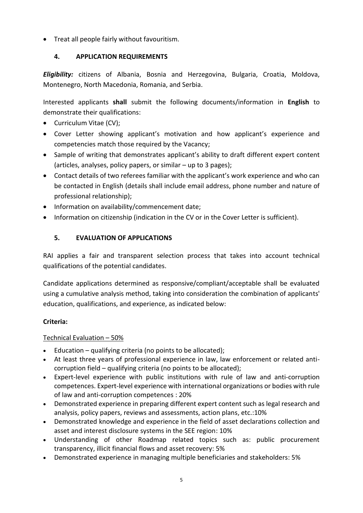• Treat all people fairly without favouritism.

# **4. APPLICATION REQUIREMENTS**

*Eligibility:* citizens of Albania, Bosnia and Herzegovina, Bulgaria, Croatia, Moldova, Montenegro, North Macedonia, Romania, and Serbia.

Interested applicants **shall** submit the following documents/information in **English** to demonstrate their qualifications:

- Curriculum Vitae (CV);
- Cover Letter showing applicant's motivation and how applicant's experience and competencies match those required by the Vacancy;
- Sample of writing that demonstrates applicant's ability to draft different expert content (articles, analyses, policy papers, or similar – up to 3 pages);
- Contact details of two referees familiar with the applicant's work experience and who can be contacted in English (details shall include email address, phone number and nature of professional relationship);
- Information on availability/commencement date;
- Information on citizenship (indication in the CV or in the Cover Letter is sufficient).

# **5. EVALUATION OF APPLICATIONS**

RAI applies a fair and transparent selection process that takes into account technical qualifications of the potential candidates.

Candidate applications determined as responsive/compliant/acceptable shall be evaluated using a cumulative analysis method, taking into consideration the combination of applicants' education, qualifications, and experience, as indicated below:

# **Criteria:**

# Technical Evaluation – 50%

- Education qualifying criteria (no points to be allocated);
- At least three years of professional experience in law, law enforcement or related anticorruption field – qualifying criteria (no points to be allocated);
- Expert-level experience with public institutions with rule of law and anti-corruption competences. Expert-level experience with international organizations or bodies with rule of law and anti-corruption competences : 20%
- Demonstrated experience in preparing different expert content such as legal research and analysis, policy papers, reviews and assessments, action plans, etc.:10%
- Demonstrated knowledge and experience in the field of asset declarations collection and asset and interest disclosure systems in the SEE region: 10%
- Understanding of other Roadmap related topics such as: public procurement transparency, illicit financial flows and asset recovery: 5%
- Demonstrated experience in managing multiple beneficiaries and stakeholders: 5%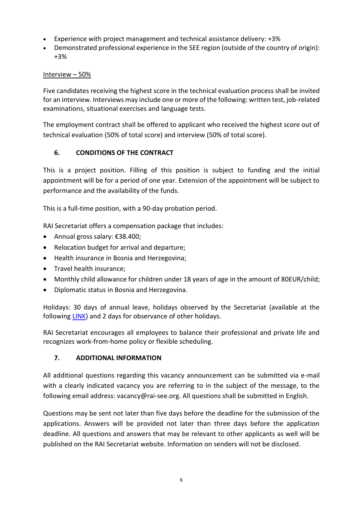- Experience with project management and technical assistance delivery: +3%
- Demonstrated professional experience in the SEE region (outside of the country of origin): +3%

#### Interview – 50%

Five candidates receiving the highest score in the technical evaluation process shall be invited for an interview. Interviews may include one or more of the following: written test, job-related examinations, situational exercises and language tests.

The employment contract shall be offered to applicant who received the highest score out of technical evaluation (50% of total score) and interview (50% of total score).

## **6. CONDITIONS OF THE CONTRACT**

This is a project position. Filling of this position is subject to funding and the initial appointment will be for a period of one year. Extension of the appointment will be subject to performance and the availability of the funds.

This is a full-time position, with a 90-day probation period.

RAI Secretariat offers a compensation package that includes:

- Annual gross salary: €38.400;
- Relocation budget for arrival and departure;
- Health insurance in Bosnia and Herzegovina;
- Travel health insurance;
- Monthly child allowance for children under 18 years of age in the amount of 80EUR/child;
- Diplomatic status in Bosnia and Herzegovina.

Holidays: 30 days of annual leave, holidays observed by the Secretariat (available at the followin[g LINK\)](http://www.rai-see.org/working-hours-and-holidays/) and 2 days for observance of other holidays.

RAI Secretariat encourages all employees to balance their professional and private life and recognizes work-from-home policy or flexible scheduling.

#### **7. ADDITIONAL INFORMATION**

All additional questions regarding this vacancy announcement can be submitted via e-mail with a clearly indicated vacancy you are referring to in the subject of the message, to the following email address: vacancy@rai-see.org. All questions shall be submitted in English.

Questions may be sent not later than five days before the deadline for the submission of the applications. Answers will be provided not later than three days before the application deadline. All questions and answers that may be relevant to other applicants as well will be published on the RAI Secretariat website. Information on senders will not be disclosed.